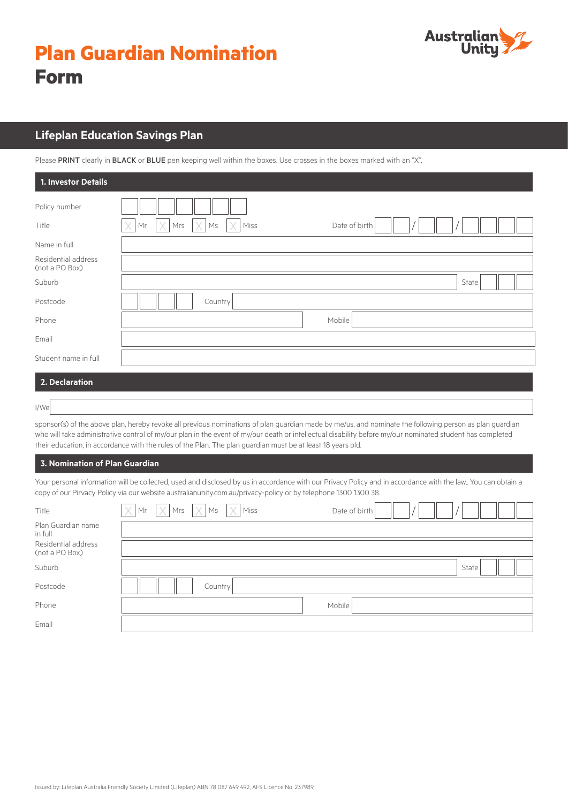# **Plan Guardian Nomination Form**



# **Lifeplan Education Savings Plan**

Please PRINT clearly in BLACK or BLUE pen keeping well within the boxes. Use crosses in the boxes marked with an "X".

| 1. Investor Details                   |                                                                                           |
|---------------------------------------|-------------------------------------------------------------------------------------------|
| Policy number                         |                                                                                           |
| Title                                 | $\times$<br>IX<br>Mrs<br>$\mathsf{M}\mathsf{s}$<br>$\times$   Miss<br>Mr<br>Date of birth |
| Name in full                          |                                                                                           |
| Residential address<br>(not a PO Box) |                                                                                           |
| Suburb                                | State                                                                                     |
| Postcode                              | Country                                                                                   |
| Phone                                 | Mobile                                                                                    |
| Email                                 |                                                                                           |
| Student name in full                  |                                                                                           |
| 2. Declaration                        |                                                                                           |

I/We

sponsor(s) of the above plan, hereby revoke all previous nominations of plan guardian made by me/us, and nominate the following person as plan guardian who will take administrative control of my/our plan in the event of my/our death or intellectual disability before my/our nominated student has completed their education, in accordance with the rules of the Plan. The plan guardian must be at least 18 years old.

# **3. Nomination of Plan Guardian**

Your personal information will be collected, used and disclosed by us in accordance with our Privacy Policy and in accordance with the law,. You can obtain a copy of our Pirvacy Policy via our website australianunity.com.au/privacy-policy or by telephone 1300 1300 38.

| Title                                 | $\times$ | $\begin{array}{ c c c c c }\n\hline\n\text{Mr} & \text{X} & \text{Mrs} & \text{X} & \text{Miss}\n\end{array}$ |         |  | Date of birth |  |       |  |  |
|---------------------------------------|----------|---------------------------------------------------------------------------------------------------------------|---------|--|---------------|--|-------|--|--|
| Plan Guardian name<br>in full         |          |                                                                                                               |         |  |               |  |       |  |  |
| Residential address<br>(not a PO Box) |          |                                                                                                               |         |  |               |  |       |  |  |
| Suburb                                |          |                                                                                                               |         |  |               |  | State |  |  |
| Postcode                              |          |                                                                                                               | Country |  |               |  |       |  |  |
| Phone                                 |          |                                                                                                               |         |  | Mobile        |  |       |  |  |
| Email                                 |          |                                                                                                               |         |  |               |  |       |  |  |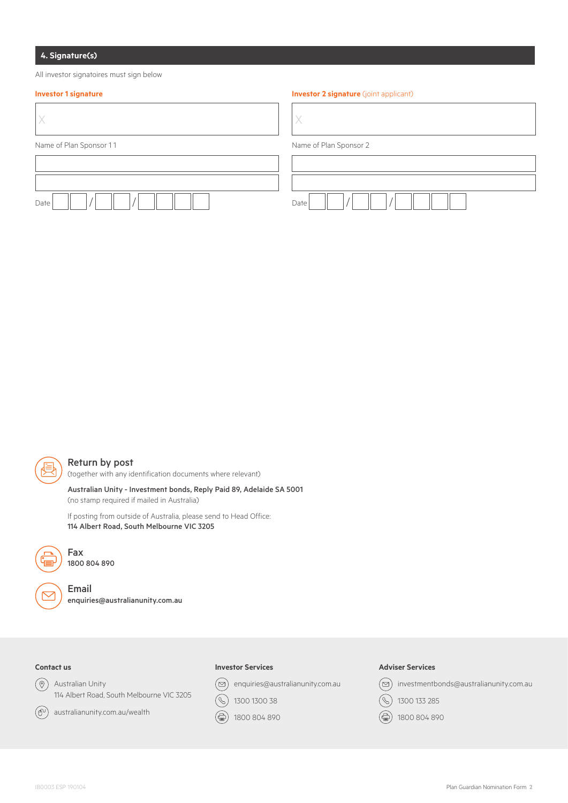# **4. Signature(s)**

All investor signatoires must sign below

#### **Investor 1 signature Investor 2 signature Investor 2 signature** (joint applicant)

| Name of Plan Sponsor 11 | Name of Plan Sponsor 2 |
|-------------------------|------------------------|
|                         |                        |
|                         |                        |
| Date                    | Date                   |



# Return by post

(together with any identification documents where relevant)

Australian Unity - Investment bonds, Reply Paid 89, Adelaide SA 5001 (no stamp required if mailed in Australia)

If posting from outside of Australia, please send to Head Office: 114 Albert Road, South Melbourne VIC 3205



1800 804 890

Fax

Email enquiries@australianunity.com.au

# **Contact us**

 $\circledcirc$ Australian Unity 114 Albert Road, South Melbourne VIC 3205



australianunity.com.au/wealth

#### **Investor Services**

 $\circledcirc$  enquiries@australianunity.com.au

 $\circledS$ 1300 1300 38

(즉) 1800 804 890

#### **Adviser Services**



- $(\mathcal{C})$ 1300 133 285
- (合) 1800 804 890